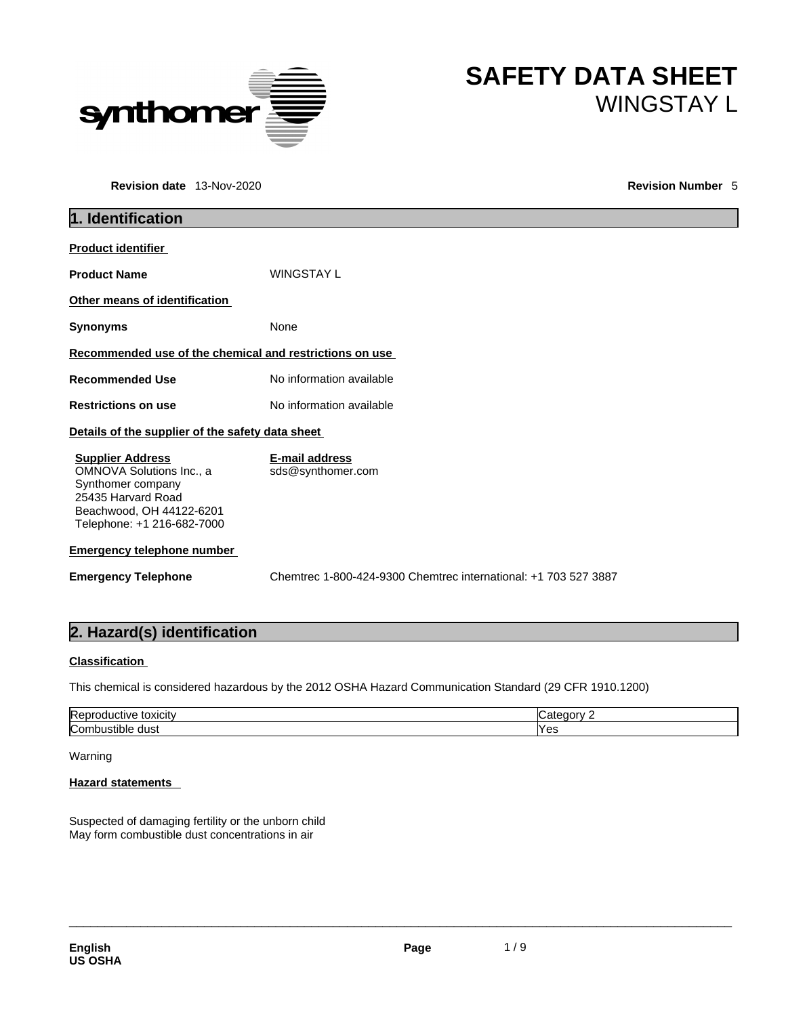

# **Revision date** 13-Nov-2020 **Revision Number** 5

| <b>SAFETY DATA SHEET</b> |
|--------------------------|
| <b>WINGSTAY L</b>        |

# **1. Identification Product identifier Product Name** WINGSTAY L **Other means of identification Synonyms** None **Recommended use of the chemical and restrictions on use Recommended Use** No information available **Restrictions on use** No information available **Details of the supplier of the safety data sheet Emergency telephone number Emergency Telephone** Chemtrec 1-800-424-9300 Chemtrec international: +1 703 527 3887 **Supplier Address** OMNOVA Solutions Inc., a Synthomer company 25435 Harvard Road Beachwood, OH 44122-6201 Telephone: +1 216-682-7000 **E-mail address** sds@synthomer.com

# **2. Hazard(s) identification**

# **Classification**

This chemical is considered hazardous by the 2012 OSHA Hazard Communication Standard (29 CFR 1910.1200)

| toxicity<br>$\sim$ $10V$           |    |
|------------------------------------|----|
| ∽<br>nm<br>dust<br>$\cdots$<br>. . | ರು |

# Warning

# **Hazard statements**

Suspected of damaging fertility or the unborn child May form combustible dust concentrations in air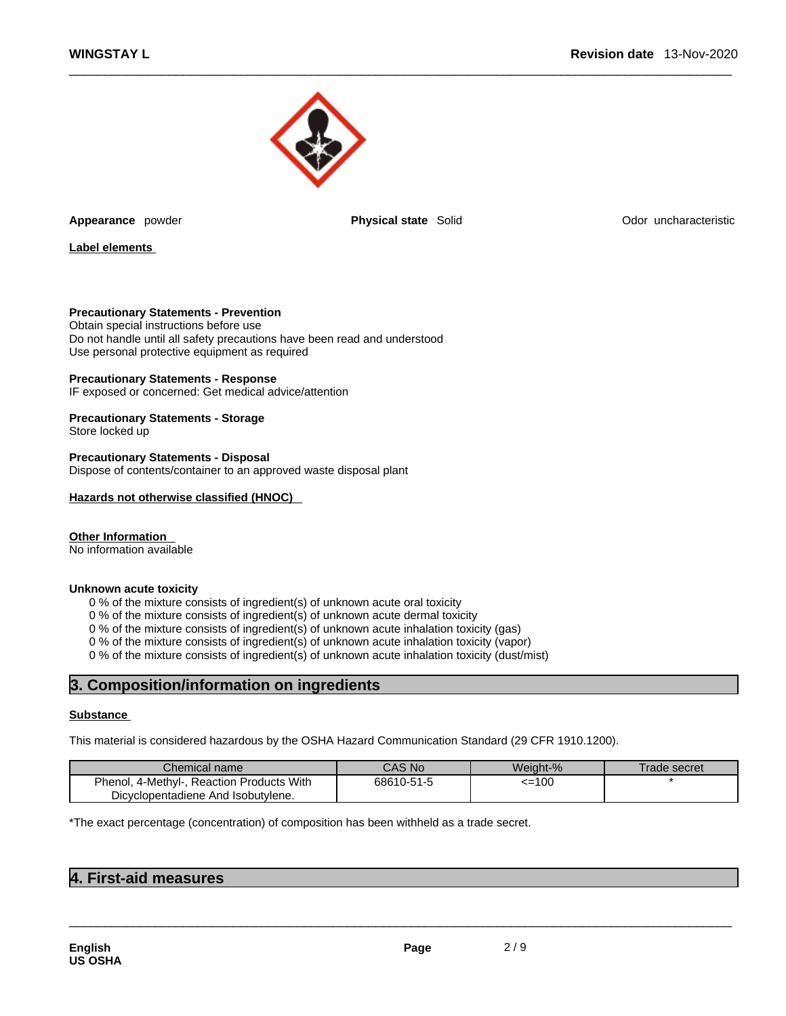

**Appearance** powder **Physical state Solid** 

Odor uncharacteristic

**Label elements**

### **Precautionary Statements - Prevention**

Obtain special instructions before use Do not handle until all safety precautions have been read and understood Use personal protective equipment as required

#### **Precautionary Statements - Response**

IF exposed or concerned: Get medical advice/attention

**Precautionary Statements - Storage** Store locked up

**Precautionary Statements - Disposal** Dispose of contents/container to an approved waste disposal plant

#### **Hazards not otherwise classified (HNOC)**

# **Other Information**

No information available

#### **Unknown acute toxicity**

0 % of the mixture consists of ingredient(s) of unknown acute oral toxicity

0 % of the mixture consists of ingredient(s) of unknown acute dermal toxicity

0 % of the mixture consists of ingredient(s) of unknown acute inhalation toxicity (gas)

0 % of the mixture consists of ingredient(s) of unknown acute inhalation toxicity (vapor)

0 % of the mixture consists of ingredient(s) of unknown acute inhalation toxicity (dust/mist)

# **3. Composition/information on ingredients**

### **Substance**

This material is considered hazardous by the OSHA Hazard Communication Standard (29 CFR 1910.1200).

| Chemical name                                | CAS No     | Weiaht-% | Frade secret |
|----------------------------------------------|------------|----------|--------------|
| 4-Methyl-, Reaction Products With<br>Phenol, | 68610-51-5 | <=100    |              |
| Dicyclopentadiene And Isobutylene.           |            |          |              |

 $\_$  ,  $\_$  ,  $\_$  ,  $\_$  ,  $\_$  ,  $\_$  ,  $\_$  ,  $\_$  ,  $\_$  ,  $\_$  ,  $\_$  ,  $\_$  ,  $\_$  ,  $\_$  ,  $\_$  ,  $\_$  ,  $\_$  ,  $\_$  ,  $\_$  ,  $\_$  ,  $\_$  ,  $\_$  ,  $\_$  ,  $\_$  ,  $\_$  ,  $\_$  ,  $\_$  ,  $\_$  ,  $\_$  ,  $\_$  ,  $\_$  ,  $\_$  ,  $\_$  ,  $\_$  ,  $\_$  ,  $\_$  ,  $\_$  ,

\*The exact percentage (concentration) of composition has been withheld as a trade secret.

# **4. First-aid measures**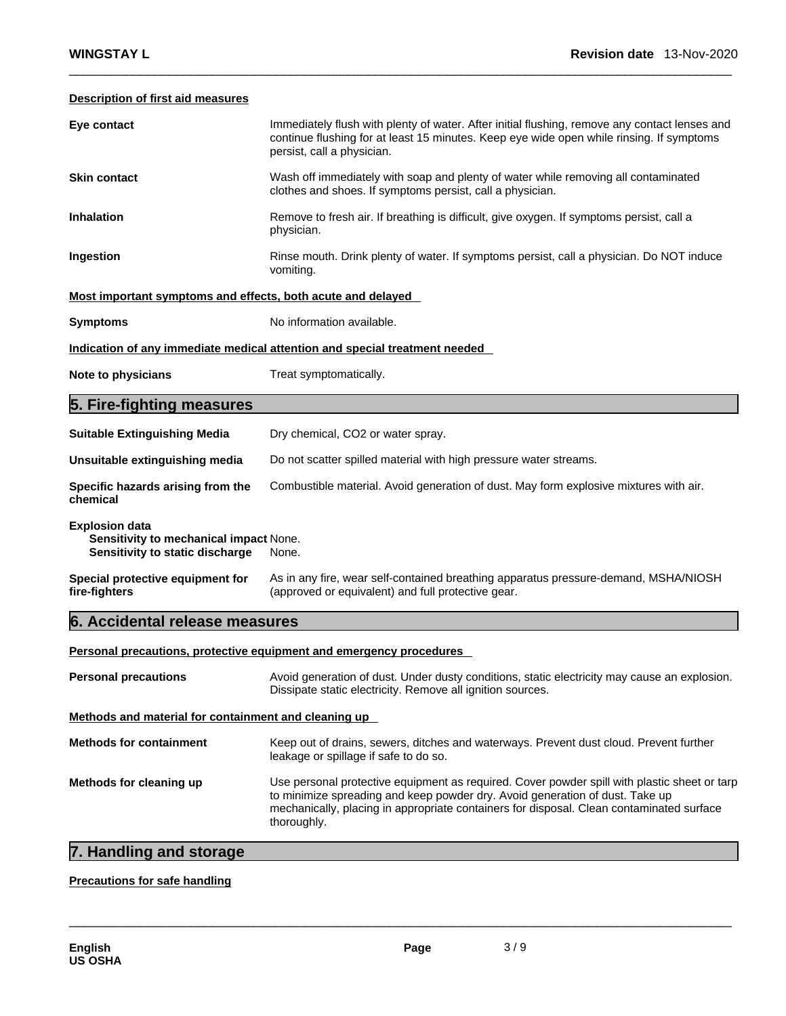# **Description of first aid measures**

| Eye contact                                                                                        | Immediately flush with plenty of water. After initial flushing, remove any contact lenses and<br>continue flushing for at least 15 minutes. Keep eye wide open while rinsing. If symptoms<br>persist, call a physician. |
|----------------------------------------------------------------------------------------------------|-------------------------------------------------------------------------------------------------------------------------------------------------------------------------------------------------------------------------|
| <b>Skin contact</b>                                                                                | Wash off immediately with soap and plenty of water while removing all contaminated<br>clothes and shoes. If symptoms persist, call a physician.                                                                         |
| <b>Inhalation</b>                                                                                  | Remove to fresh air. If breathing is difficult, give oxygen. If symptoms persist, call a<br>physician.                                                                                                                  |
| Ingestion                                                                                          | Rinse mouth. Drink plenty of water. If symptoms persist, call a physician. Do NOT induce<br>vomiting.                                                                                                                   |
| Most important symptoms and effects, both acute and delayed                                        |                                                                                                                                                                                                                         |
| <b>Symptoms</b>                                                                                    | No information available.                                                                                                                                                                                               |
|                                                                                                    | Indication of any immediate medical attention and special treatment needed                                                                                                                                              |
| Note to physicians                                                                                 | Treat symptomatically.                                                                                                                                                                                                  |
| 5. Fire-fighting measures                                                                          |                                                                                                                                                                                                                         |
| <b>Suitable Extinguishing Media</b>                                                                | Dry chemical, CO2 or water spray.                                                                                                                                                                                       |
| Unsuitable extinguishing media                                                                     | Do not scatter spilled material with high pressure water streams.                                                                                                                                                       |
| Specific hazards arising from the<br>chemical                                                      | Combustible material. Avoid generation of dust. May form explosive mixtures with air.                                                                                                                                   |
| <b>Explosion data</b><br>Sensitivity to mechanical impact None.<br>Sensitivity to static discharge | None.                                                                                                                                                                                                                   |
| Special protective equipment for<br>fire-fighters                                                  | As in any fire, wear self-contained breathing apparatus pressure-demand, MSHA/NIOSH<br>(approved or equivalent) and full protective gear.                                                                               |
| 6. Accidental release measures                                                                     |                                                                                                                                                                                                                         |
|                                                                                                    | Personal precautions, protective equipment and emergency procedures                                                                                                                                                     |

| <b>Personal precautions</b>                          | Avoid generation of dust. Under dusty conditions, static electricity may cause an explosion.<br>Dissipate static electricity. Remove all ignition sources.                                                                                                                              |  |
|------------------------------------------------------|-----------------------------------------------------------------------------------------------------------------------------------------------------------------------------------------------------------------------------------------------------------------------------------------|--|
| Methods and material for containment and cleaning up |                                                                                                                                                                                                                                                                                         |  |
| <b>Methods for containment</b>                       | Keep out of drains, sewers, ditches and waterways. Prevent dust cloud. Prevent further<br>leakage or spillage if safe to do so.                                                                                                                                                         |  |
| Methods for cleaning up                              | Use personal protective equipment as required. Cover powder spill with plastic sheet or tarp<br>to minimize spreading and keep powder dry. Avoid generation of dust. Take up<br>mechanically, placing in appropriate containers for disposal. Clean contaminated surface<br>thoroughly. |  |

# **7. Handling and storage**

# **Precautions for safe handling**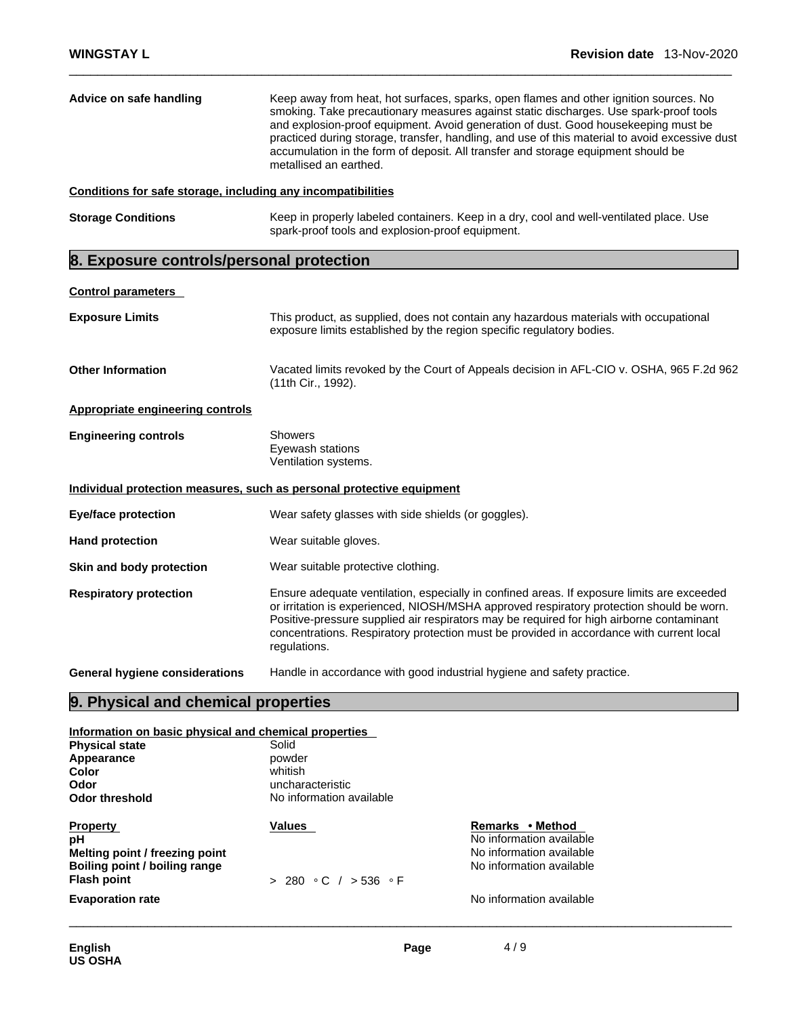| Advice on safe handling                                      | Keep away from heat, hot surfaces, sparks, open flames and other ignition sources. No<br>smoking. Take precautionary measures against static discharges. Use spark-proof tools<br>and explosion-proof equipment. Avoid generation of dust. Good housekeeping must be<br>practiced during storage, transfer, handling, and use of this material to avoid excessive dust<br>accumulation in the form of deposit. All transfer and storage equipment should be<br>metallised an earthed. |  |
|--------------------------------------------------------------|---------------------------------------------------------------------------------------------------------------------------------------------------------------------------------------------------------------------------------------------------------------------------------------------------------------------------------------------------------------------------------------------------------------------------------------------------------------------------------------|--|
| Conditions for safe storage, including any incompatibilities |                                                                                                                                                                                                                                                                                                                                                                                                                                                                                       |  |
| <b>Storage Conditions</b>                                    | Keep in properly labeled containers. Keep in a dry, cool and well-ventilated place. Use<br>spark-proof tools and explosion-proof equipment.                                                                                                                                                                                                                                                                                                                                           |  |
| 8. Exposure controls/personal protection                     |                                                                                                                                                                                                                                                                                                                                                                                                                                                                                       |  |

# **Control parameters**

| <b>Exposure Limits</b>                  | This product, as supplied, does not contain any hazardous materials with occupational<br>exposure limits established by the region specific regulatory bodies.                                                                                                                                                                                                                                 |
|-----------------------------------------|------------------------------------------------------------------------------------------------------------------------------------------------------------------------------------------------------------------------------------------------------------------------------------------------------------------------------------------------------------------------------------------------|
| <b>Other Information</b>                | Vacated limits revoked by the Court of Appeals decision in AFL-CIO v. OSHA, 965 F.2d 962<br>(11th Cir., 1992).                                                                                                                                                                                                                                                                                 |
| <b>Appropriate engineering controls</b> |                                                                                                                                                                                                                                                                                                                                                                                                |
| <b>Engineering controls</b>             | <b>Showers</b><br>Eyewash stations<br>Ventilation systems.                                                                                                                                                                                                                                                                                                                                     |
|                                         | Individual protection measures, such as personal protective equipment                                                                                                                                                                                                                                                                                                                          |
| <b>Eye/face protection</b>              | Wear safety glasses with side shields (or goggles).                                                                                                                                                                                                                                                                                                                                            |
| <b>Hand protection</b>                  | Wear suitable gloves.                                                                                                                                                                                                                                                                                                                                                                          |
| Skin and body protection                | Wear suitable protective clothing.                                                                                                                                                                                                                                                                                                                                                             |
| <b>Respiratory protection</b>           | Ensure adequate ventilation, especially in confined areas. If exposure limits are exceeded<br>or irritation is experienced, NIOSH/MSHA approved respiratory protection should be worn.<br>Positive-pressure supplied air respirators may be required for high airborne contaminant<br>concentrations. Respiratory protection must be provided in accordance with current local<br>regulations. |
| General hygiene considerations          | Handle in accordance with good industrial hygiene and safety practice.                                                                                                                                                                                                                                                                                                                         |

# **9. Physical and chemical properties**

#### **Information on basic physical and chemical properties**

| <b>Physical state</b>          | Solid                    |                          |  |
|--------------------------------|--------------------------|--------------------------|--|
| Appearance                     | powder                   |                          |  |
| Color                          | whitish                  |                          |  |
| Odor                           | uncharacteristic         |                          |  |
| <b>Odor threshold</b>          | No information available |                          |  |
| <b>Property</b>                | <b>Values</b>            | Remarks • Method         |  |
| рH                             |                          | No information available |  |
| Melting point / freezing point |                          | No information available |  |
| Boiling point / boiling range  |                          | No information available |  |
| <b>Flash point</b>             | > 280 °C / > 536 °F      |                          |  |
| <b>Evaporation rate</b>        |                          | No information available |  |
|                                |                          |                          |  |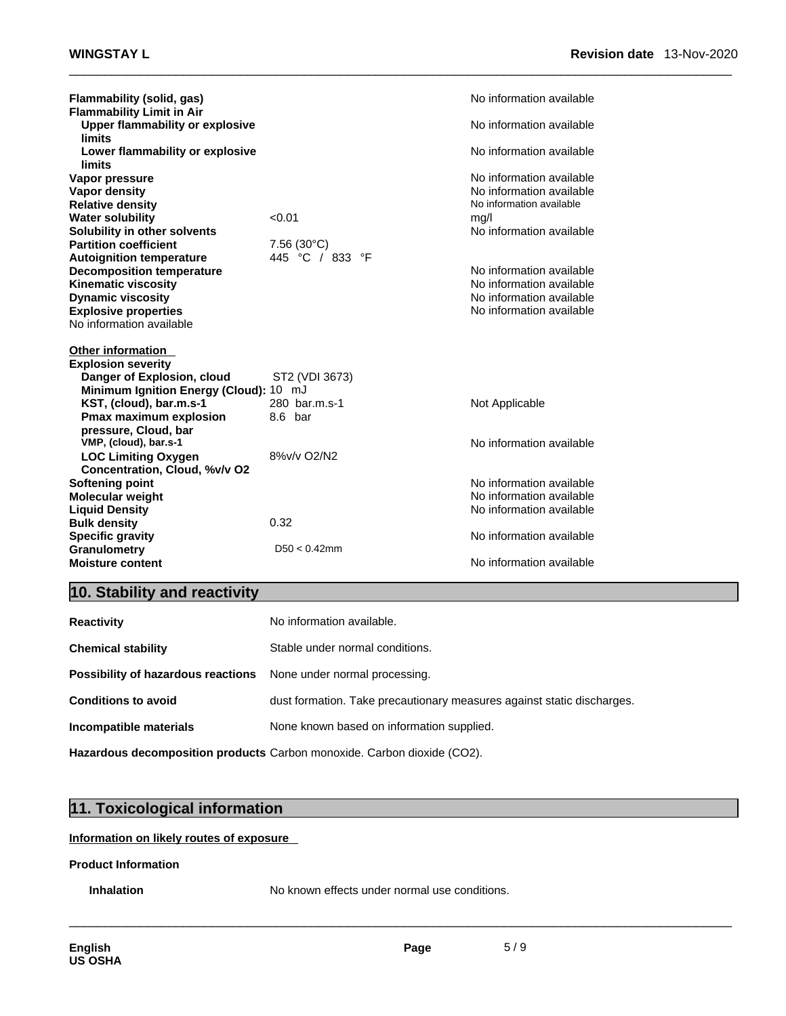| Flammability (solid, gas)              |                     | No information available |
|----------------------------------------|---------------------|--------------------------|
| <b>Flammability Limit in Air</b>       |                     |                          |
| <b>Upper flammability or explosive</b> |                     | No information available |
| limits                                 |                     |                          |
| Lower flammability or explosive        |                     | No information available |
| limits                                 |                     |                          |
| Vapor pressure                         |                     | No information available |
| <b>Vapor density</b>                   |                     | No information available |
| <b>Relative density</b>                |                     | No information available |
| <b>Water solubility</b>                | < 0.01              | mg/l                     |
| Solubility in other solvents           |                     | No information available |
| <b>Partition coefficient</b>           | $7.56(30^{\circ}C)$ |                          |
| <b>Autoignition temperature</b>        | 445 °C / 833 °F     |                          |
| <b>Decomposition temperature</b>       |                     | No information available |
|                                        |                     | No information available |
| <b>Kinematic viscosity</b>             |                     |                          |
| <b>Dynamic viscosity</b>               |                     | No information available |
| <b>Explosive properties</b>            |                     | No information available |
| No information available               |                     |                          |
|                                        |                     |                          |
| <b>Other information</b>               |                     |                          |
| <b>Explosion severity</b>              |                     |                          |
| Danger of Explosion, cloud             | ST2 (VDI 3673)      |                          |
| Minimum Ignition Energy (Cloud): 10 mJ |                     |                          |
| KST, (cloud), bar.m.s-1                | 280 bar.m.s-1       | Not Applicable           |
| Pmax maximum explosion                 | 8.6 bar             |                          |
| pressure, Cloud, bar                   |                     |                          |
| VMP, (cloud), bar.s-1                  |                     | No information available |
| <b>LOC Limiting Oxygen</b>             | 8%v/v O2/N2         |                          |
| Concentration, Cloud, %v/v O2          |                     |                          |
| <b>Softening point</b>                 |                     | No information available |
| <b>Molecular weight</b>                |                     | No information available |
| <b>Liquid Density</b>                  |                     | No information available |
| <b>Bulk density</b>                    | 0.32                |                          |
| <b>Specific gravity</b>                |                     | No information available |
| Granulometry                           | $D50 < 0.42$ mm     |                          |
| <b>Moisture content</b>                |                     | No information available |
|                                        |                     |                          |

# **10. Stability and reactivity**

| <b>Reactivity</b>                                                       | No information available.                                               |
|-------------------------------------------------------------------------|-------------------------------------------------------------------------|
| <b>Chemical stability</b>                                               | Stable under normal conditions.                                         |
| <b>Possibility of hazardous reactions</b> None under normal processing. |                                                                         |
| <b>Conditions to avoid</b>                                              | dust formation. Take precautionary measures against static discharges.  |
| Incompatible materials                                                  | None known based on information supplied.                               |
|                                                                         | Hazardous decomposition products Carbon monoxide. Carbon dioxide (CO2). |

# **11. Toxicological information**

# **Information on likely routes of exposure**

# **Product Information**

**Inhalation** No known effects under normal use conditions.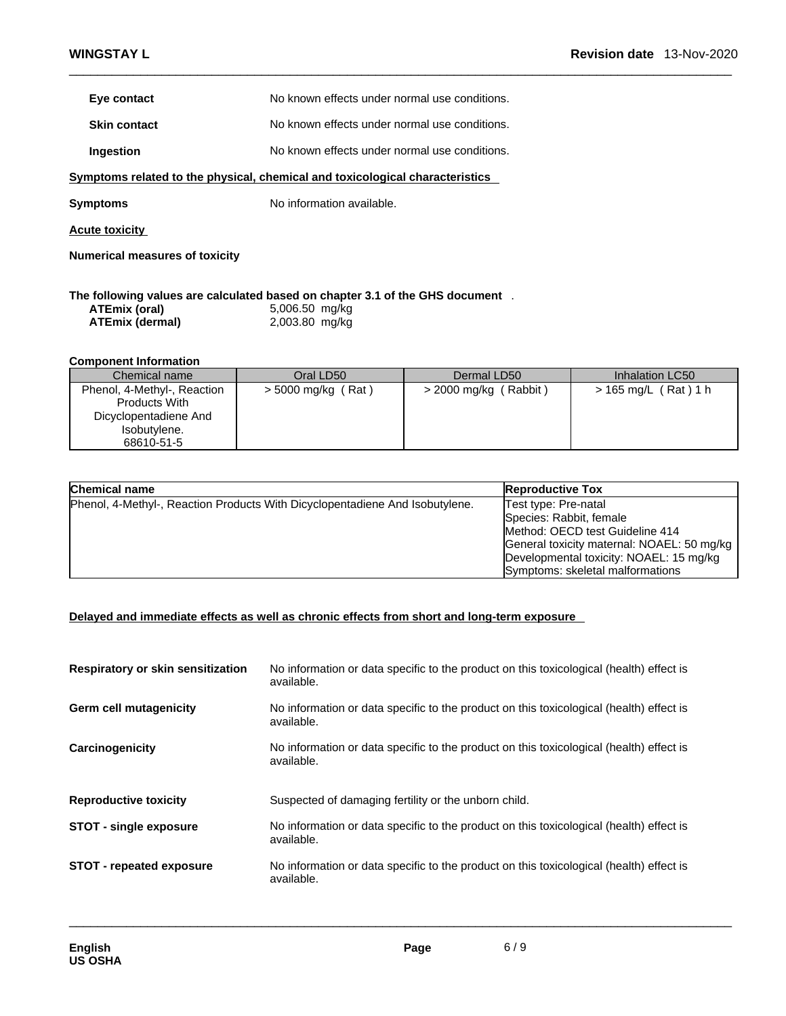| Eye contact         | No known effects under normal use conditions. |
|---------------------|-----------------------------------------------|
| <b>Skin contact</b> | No known effects under normal use conditions. |
| Ingestion           | No known effects under normal use conditions. |

**<u>Symptoms related to the physical, chemical and toxicological characteristics</u>** 

**Symptoms** No information available.

**Acute toxicity**

**Numerical measures of toxicity**

# **The following values are calculated based on chapter 3.1 of the GHS document** .

| ATEmix (oral)          |  |
|------------------------|--|
| <b>ATEmix (dermal)</b> |  |

**ATEmix (oral)** 5,006.50 mg/kg **ATEmix (dermal)**2,003.80 mg/kg

# **Component Information**

| Chemical name               | Oral LD50            | Dermal LD50             | Inhalation LC50                |
|-----------------------------|----------------------|-------------------------|--------------------------------|
| Phenol, 4-Methyl-, Reaction | $>$ 5000 mg/kg (Rat) | $>$ 2000 mg/kg (Rabbit) | $> 165 \text{ mg/L}$ (Rat) 1 h |
| <b>Products With</b>        |                      |                         |                                |
| Dicyclopentadiene And       |                      |                         |                                |
| Isobutylene.                |                      |                         |                                |
| 68610-51-5                  |                      |                         |                                |

| Chemical name                                                                | <b>Reproductive Tox</b>                                                                                                                                                                                         |
|------------------------------------------------------------------------------|-----------------------------------------------------------------------------------------------------------------------------------------------------------------------------------------------------------------|
| Phenol, 4-Methyl-, Reaction Products With Dicyclopentadiene And Isobutylene. | Test type: Pre-natal<br>Species: Rabbit, female<br>Method: OECD test Guideline 414<br>General toxicity maternal: NOAEL: 50 mg/kg<br>Developmental toxicity: NOAEL: 15 mg/kg<br>Symptoms: skeletal malformations |

### **Delayed and immediate effects as well as chronic effects from short and long-term exposure**

| Respiratory or skin sensitization | No information or data specific to the product on this toxicological (health) effect is<br>available. |
|-----------------------------------|-------------------------------------------------------------------------------------------------------|
| <b>Germ cell mutagenicity</b>     | No information or data specific to the product on this toxicological (health) effect is<br>available. |
| Carcinogenicity                   | No information or data specific to the product on this toxicological (health) effect is<br>available. |
| <b>Reproductive toxicity</b>      | Suspected of damaging fertility or the unborn child.                                                  |
| <b>STOT - single exposure</b>     | No information or data specific to the product on this toxicological (health) effect is<br>available. |
| <b>STOT - repeated exposure</b>   | No information or data specific to the product on this toxicological (health) effect is<br>available. |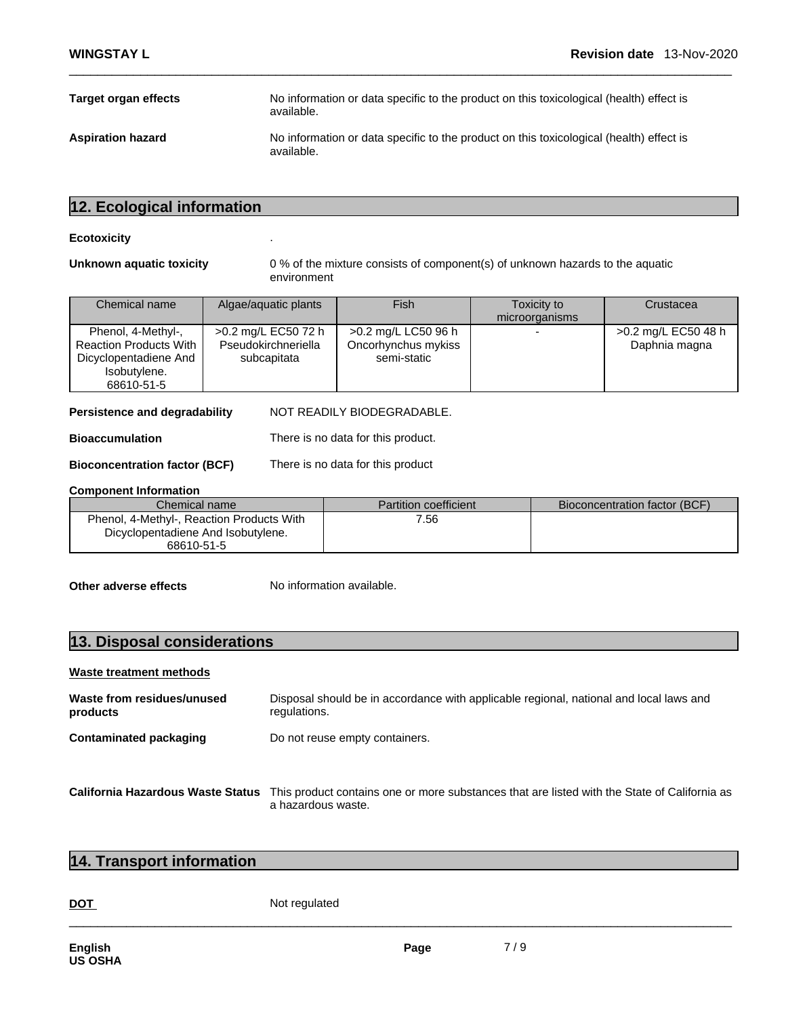| Target organ effects     | No information or data specific to the product on this toxicological (health) effect is<br>available. |
|--------------------------|-------------------------------------------------------------------------------------------------------|
| <b>Aspiration hazard</b> | No information or data specific to the product on this toxicological (health) effect is<br>available. |

# **12. Ecological information**

#### **Ecotoxicity** .

**Unknown aquatic toxicity** 0 % of the mixture consists of component(s) of unknown hazards to the aquatic environment

| Chemical name                                                                                              | Algae/aquatic plants                                      | <b>Fish</b>                                               | Toxicity to<br>microorganisms | Crustacea                            |
|------------------------------------------------------------------------------------------------------------|-----------------------------------------------------------|-----------------------------------------------------------|-------------------------------|--------------------------------------|
| Phenol, 4-Methyl-,<br><b>Reaction Products With</b><br>Dicyclopentadiene And<br>Isobutylene.<br>68610-51-5 | >0.2 mg/L EC50 72 h<br>Pseudokirchneriella<br>subcapitata | >0.2 mg/L LC50 96 h<br>Oncorhynchus mykiss<br>semi-static |                               | >0.2 mg/L EC50 48 h<br>Daphnia magna |

**Persistence and degradability** NOT READILY BIODEGRADABLE.

**Bioaccumulation** There is no data for this product.

**Bioconcentration factor (BCF)** There is no data for this product

#### **Component Information**

| Chemical name i                           | <b>Partition coefficient</b> | Bioconcentration factor (BCF) |
|-------------------------------------------|------------------------------|-------------------------------|
| Phenol, 4-Methyl-, Reaction Products With | 7.56                         |                               |
| Dicyclopentadiene And Isobutylene.        |                              |                               |
| 68610-51-5                                |                              |                               |

**Other adverse effects** No information available.

# **13. Disposal considerations**

# **Waste treatment methods**

| Waste from residues/unused<br>products | Disposal should be in accordance with applicable regional, national and local laws and<br>regulations.                                               |
|----------------------------------------|------------------------------------------------------------------------------------------------------------------------------------------------------|
| <b>Contaminated packaging</b>          | Do not reuse empty containers.                                                                                                                       |
|                                        |                                                                                                                                                      |
|                                        | California Hazardous Waste Status This product contains one or more substances that are listed with the State of California as<br>a hazardous waste. |

# **14. Transport information**

DOT Not regulated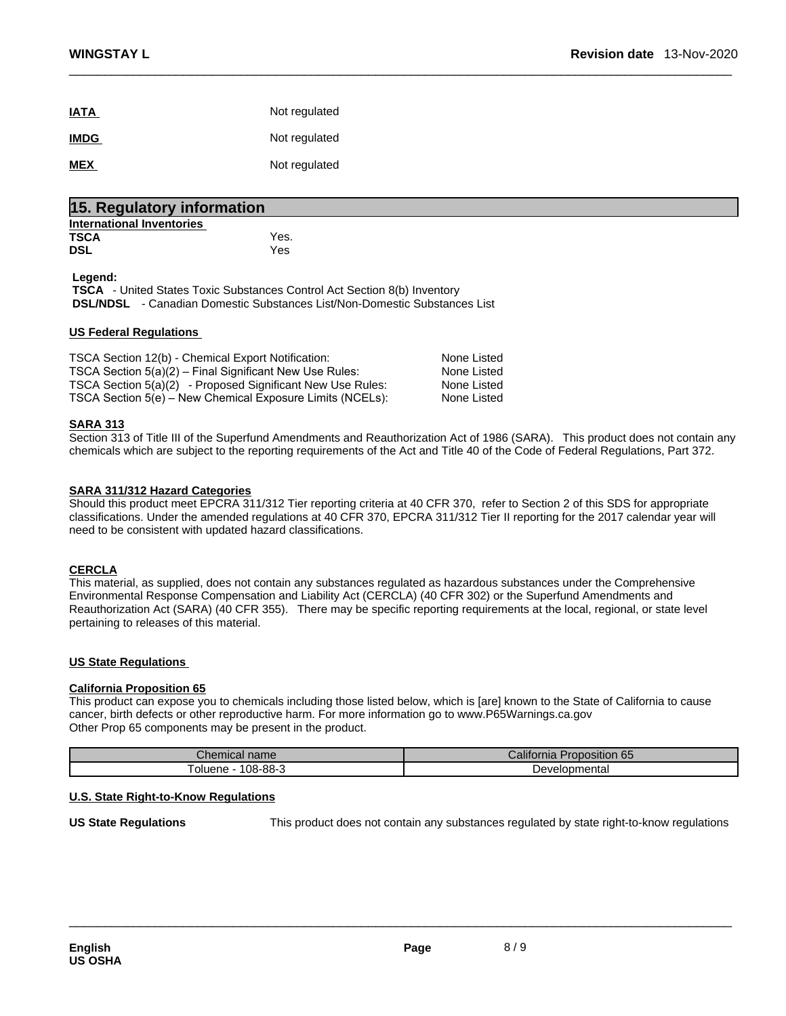| <b>IATA</b> | Not regulated |
|-------------|---------------|
| <b>IMDG</b> | Not regulated |
| <b>MEX</b>  | Not regulated |

|                                  | 15. Regulatory information |  |  |  |  |
|----------------------------------|----------------------------|--|--|--|--|
| <b>International Inventories</b> |                            |  |  |  |  |
| <b>TSCA</b>                      | Yes.                       |  |  |  |  |
| <b>DSL</b>                       | Yes                        |  |  |  |  |
| Leaend:                          |                            |  |  |  |  |

 **TSCA** - United States Toxic Substances Control Act Section 8(b) Inventory  **DSL/NDSL** - Canadian Domestic Substances List/Non-Domestic Substances List

# **US Federal Regulations**

| TSCA Section 12(b) - Chemical Export Notification:         | None Listed |  |
|------------------------------------------------------------|-------------|--|
| TSCA Section 5(a)(2) – Final Significant New Use Rules:    | None Listed |  |
| TSCA Section 5(a)(2) - Proposed Significant New Use Rules: | None Listed |  |
| TSCA Section 5(e) – New Chemical Exposure Limits (NCELs):  | None Listed |  |

### **SARA 313**

Section 313 of Title III of the Superfund Amendments and Reauthorization Act of 1986 (SARA). This product does not contain any chemicals which are subject to the reporting requirements of the Act and Title 40 of the Code of Federal Regulations, Part 372.

### **SARA 311/312 Hazard Categories**

Should this product meet EPCRA 311/312 Tier reporting criteria at 40 CFR 370, refer to Section 2 of this SDS for appropriate classifications. Under the amended regulations at 40 CFR 370, EPCRA 311/312 Tier II reporting for the 2017 calendar year will need to be consistent with updated hazard classifications.

#### **CERCLA**

This material, as supplied, does not contain any substances regulated as hazardous substances under the Comprehensive Environmental Response Compensation and Liability Act (CERCLA) (40 CFR 302) or the Superfund Amendments and Reauthorization Act (SARA) (40 CFR 355). There may be specific reporting requirements at the local, regional, or state level pertaining to releases of this material.

#### **US State Regulations**

#### **California Proposition 65**

This product can expose you to chemicals including those listed below, which is [are] known to the State of California to cause cancer, birth defects or other reproductive harm. For more information go to www.P65Warnings.ca.gov Other Prop 65 components may be present in the product.

| Chen<br>name<br>Tiltidi | $\sim$<br>$\mathcal{L}$ alitornia<br>oosition 65<br>ror |
|-------------------------|---------------------------------------------------------|
| $108 - 88 - 3$          | 'opmenta.                                               |
| oluene                  | ،ام/۱۵۱                                                 |

# **U.S. State Right-to-Know Regulations**

**US State Regulations** This product does not contain any substances regulated by state right-to-know regulations